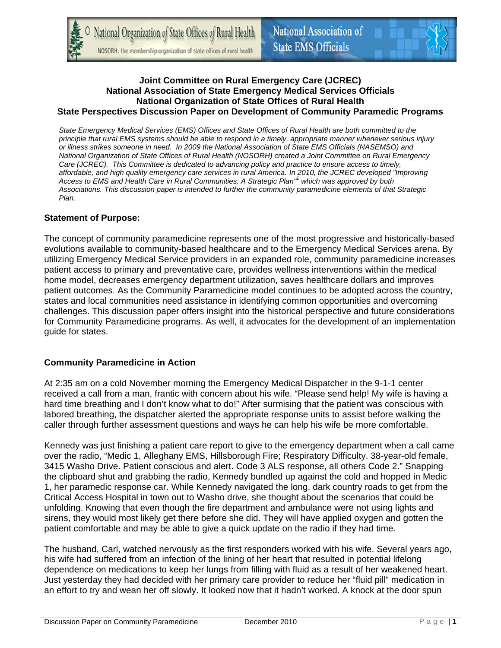National Organization of State Offices of Rural Health NOSORH: the membership organization of state offices of rural health



#### **Joint Committee on Rural Emergency Care (JCREC) National Association of State Emergency Medical Services Officials National Organization of State Offices of Rural Health State Perspectives Discussion Paper on Development of Community Paramedic Programs**

*State Emergency Medical Services (EMS) Offices and State Offices of Rural Health are both committed to the principle that rural EMS systems should be able to respond in a timely, appropriate manner whenever serious injury or illness strikes someone in need. In 2009 the National Association of State EMS Officials (NASEMSO) and National Organization of State Offices of Rural Health (NOSORH) created a Joint Committee on Rural Emergency Care (JCREC). This Committee is dedicated to advancing policy and practice to ensure access to timely, affordable, and high quality emergency care services in rural America. In 2010, the JCREC developed "Improving Access to EMS and Health Care in Rural Communities: A Strategic Plan"1 which was approved by both Associations. This discussion paper is intended to further the community paramedicine elements of that Strategic Plan.* 

### **Statement of Purpose:**

The concept of community paramedicine represents one of the most progressive and historically-based evolutions available to community-based healthcare and to the Emergency Medical Services arena. By utilizing Emergency Medical Service providers in an expanded role, community paramedicine increases patient access to primary and preventative care, provides wellness interventions within the medical home model, decreases emergency department utilization, saves healthcare dollars and improves patient outcomes. As the Community Paramedicine model continues to be adopted across the country, states and local communities need assistance in identifying common opportunities and overcoming challenges. This discussion paper offers insight into the historical perspective and future considerations for Community Paramedicine programs. As well, it advocates for the development of an implementation guide for states.

### **Community Paramedicine in Action**

At 2:35 am on a cold November morning the Emergency Medical Dispatcher in the 9-1-1 center received a call from a man, frantic with concern about his wife. "Please send help! My wife is having a hard time breathing and I don't know what to do!" After surmising that the patient was conscious with labored breathing, the dispatcher alerted the appropriate response units to assist before walking the caller through further assessment questions and ways he can help his wife be more comfortable.

Kennedy was just finishing a patient care report to give to the emergency department when a call came over the radio, "Medic 1, Alleghany EMS, Hillsborough Fire; Respiratory Difficulty. 38-year-old female, 3415 Washo Drive. Patient conscious and alert. Code 3 ALS response, all others Code 2." Snapping the clipboard shut and grabbing the radio, Kennedy bundled up against the cold and hopped in Medic 1, her paramedic response car. While Kennedy navigated the long, dark country roads to get from the Critical Access Hospital in town out to Washo drive, she thought about the scenarios that could be unfolding. Knowing that even though the fire department and ambulance were not using lights and sirens, they would most likely get there before she did. They will have applied oxygen and gotten the patient comfortable and may be able to give a quick update on the radio if they had time.

The husband, Carl, watched nervously as the first responders worked with his wife. Several years ago, his wife had suffered from an infection of the lining of her heart that resulted in potential lifelong dependence on medications to keep her lungs from filling with fluid as a result of her weakened heart. Just yesterday they had decided with her primary care provider to reduce her "fluid pill" medication in an effort to try and wean her off slowly. It looked now that it hadn't worked. A knock at the door spun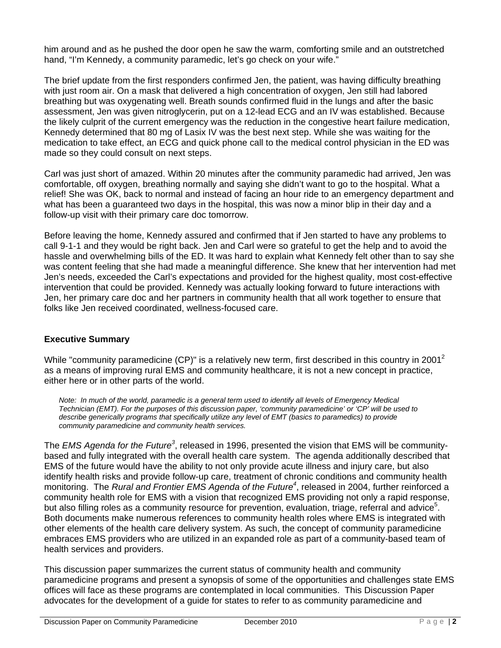him around and as he pushed the door open he saw the warm, comforting smile and an outstretched hand, "I'm Kennedy, a community paramedic, let's go check on your wife."

The brief update from the first responders confirmed Jen, the patient, was having difficulty breathing with just room air. On a mask that delivered a high concentration of oxygen, Jen still had labored breathing but was oxygenating well. Breath sounds confirmed fluid in the lungs and after the basic assessment, Jen was given nitroglycerin, put on a 12-lead ECG and an IV was established. Because the likely culprit of the current emergency was the reduction in the congestive heart failure medication, Kennedy determined that 80 mg of Lasix IV was the best next step. While she was waiting for the medication to take effect, an ECG and quick phone call to the medical control physician in the ED was made so they could consult on next steps.

Carl was just short of amazed. Within 20 minutes after the community paramedic had arrived, Jen was comfortable, off oxygen, breathing normally and saying she didn't want to go to the hospital. What a relief! She was OK, back to normal and instead of facing an hour ride to an emergency department and what has been a guaranteed two days in the hospital, this was now a minor blip in their day and a follow-up visit with their primary care doc tomorrow.

Before leaving the home, Kennedy assured and confirmed that if Jen started to have any problems to call 9-1-1 and they would be right back. Jen and Carl were so grateful to get the help and to avoid the hassle and overwhelming bills of the ED. It was hard to explain what Kennedy felt other than to say she was content feeling that she had made a meaningful difference. She knew that her intervention had met Jen's needs, exceeded the Carl's expectations and provided for the highest quality, most cost-effective intervention that could be provided. Kennedy was actually looking forward to future interactions with Jen, her primary care doc and her partners in community health that all work together to ensure that folks like Jen received coordinated, wellness-focused care.

## **Executive Summary**

While "community paramedicine (CP)" is a relatively new term, first described in this country in 2001<sup>2</sup> as a means of improving rural EMS and community healthcare, it is not a new concept in practice, either here or in other parts of the world.

*Note: In much of the world, paramedic is a general term used to identify all levels of Emergency Medical Technician (EMT). For the purposes of this discussion paper, 'community paramedicine' or 'CP' will be used to describe generically programs that specifically utilize any level of EMT (basics to paramedics) to provide community paramedicine and community health services.* 

The *EMS Agenda for the Future<sup>3</sup>*, released in 1996, presented the vision that EMS will be communitybased and fully integrated with the overall health care system. The agenda additionally described that EMS of the future would have the ability to not only provide acute illness and injury care, but also identify health risks and provide follow-up care, treatment of chronic conditions and community health monitoring. The *Rural and Frontier EMS Agenda of the Future<sup>4</sup>* , released in 2004, further reinforced a community health role for EMS with a vision that recognized EMS providing not only a rapid response, but also filling roles as a community resource for prevention, evaluation, triage, referral and advice<sup>5</sup>. Both documents make numerous references to community health roles where EMS is integrated with other elements of the health care delivery system. As such, the concept of community paramedicine embraces EMS providers who are utilized in an expanded role as part of a community-based team of health services and providers.

This discussion paper summarizes the current status of community health and community paramedicine programs and present a synopsis of some of the opportunities and challenges state EMS offices will face as these programs are contemplated in local communities. This Discussion Paper advocates for the development of a guide for states to refer to as community paramedicine and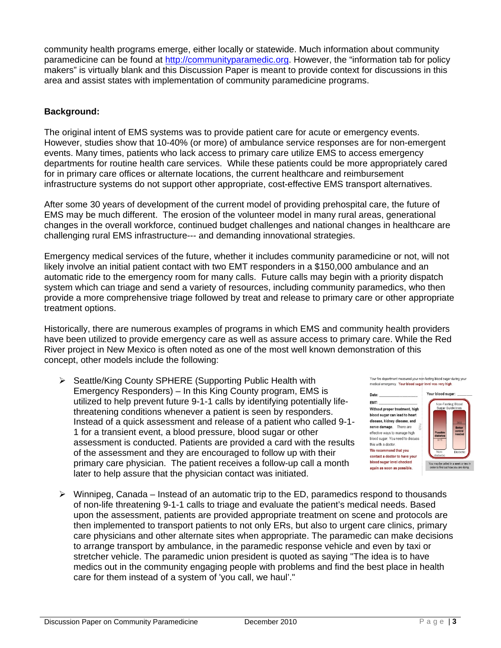community health programs emerge, either locally or statewide. Much information about community paramedicine can be found at http://communityparamedic.org. However, the "information tab for policy makers" is virtually blank and this Discussion Paper is meant to provide context for discussions in this area and assist states with implementation of community paramedicine programs.

## **Background:**

The original intent of EMS systems was to provide patient care for acute or emergency events. However, studies show that 10-40% (or more) of ambulance service responses are for non-emergent events. Many times, patients who lack access to primary care utilize EMS to access emergency departments for routine health care services. While these patients could be more appropriately cared for in primary care offices or alternate locations, the current healthcare and reimbursement infrastructure systems do not support other appropriate, cost-effective EMS transport alternatives.

After some 30 years of development of the current model of providing prehospital care, the future of EMS may be much different. The erosion of the volunteer model in many rural areas, generational changes in the overall workforce, continued budget challenges and national changes in healthcare are challenging rural EMS infrastructure--- and demanding innovational strategies.

Emergency medical services of the future, whether it includes community paramedicine or not, will not likely involve an initial patient contact with two EMT responders in a \$150,000 ambulance and an automatic ride to the emergency room for many calls. Future calls may begin with a priority dispatch system which can triage and send a variety of resources, including community paramedics, who then provide a more comprehensive triage followed by treat and release to primary care or other appropriate treatment options.

Historically, there are numerous examples of programs in which EMS and community health providers have been utilized to provide emergency care as well as assure access to primary care. While the Red River project in New Mexico is often noted as one of the most well known demonstration of this concept, other models include the following:

▶ Seattle/King County SPHERE (Supporting Public Health with Emergency Responders) – In this King County program, EMS is utilized to help prevent future 9-1-1 calls by identifying potentially lifethreatening conditions whenever a patient is seen by responders. Instead of a quick assessment and release of a patient who called 9-1- 1 for a transient event, a blood pressure, blood sugar or other assessment is conducted. Patients are provided a card with the results of the assessment and they are encouraged to follow up with their primary care physician. The patient receives a follow-up call a month later to help assure that the physician contact was initiated.

Your fire department measured your non-fasting blood sugar during you medical emergency. Your blood sugar level was very high

Date  $EMT$ : Without proper treatment, high blood sugar can lead to heart disease, kidney disease, and nerve damage. There are effective ways to manage high blood sugar. You need to discuss this with a doctor We recommend that you contact a doctor to have your blood sugar level checked again as soon as possible.



 $\triangleright$  Winnipeg, Canada – Instead of an automatic trip to the ED, paramedics respond to thousands of non-life threatening 9-1-1 calls to triage and evaluate the patient's medical needs. Based upon the assessment, patients are provided appropriate treatment on scene and protocols are then implemented to transport patients to not only ERs, but also to urgent care clinics, primary care physicians and other alternate sites when appropriate. The paramedic can make decisions to arrange transport by ambulance, in the paramedic response vehicle and even by taxi or stretcher vehicle. The paramedic union president is quoted as saying "The idea is to have medics out in the community engaging people with problems and find the best place in health care for them instead of a system of 'you call, we haul'."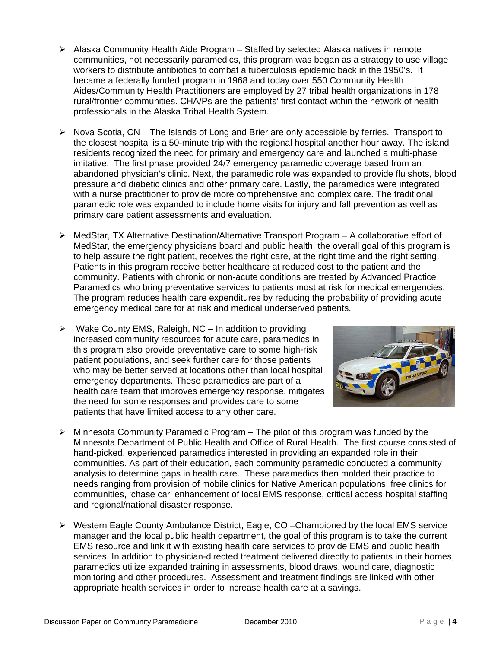- $\triangleright$  Alaska Community Health Aide Program Staffed by selected Alaska natives in remote communities, not necessarily paramedics, this program was began as a strategy to use village workers to distribute antibiotics to combat a tuberculosis epidemic back in the 1950's. It became a federally funded program in 1968 and today over 550 Community Health Aides/Community Health Practitioners are employed by 27 tribal health organizations in 178 rural/frontier communities. CHA/Ps are the patients' first contact within the network of health professionals in the Alaska Tribal Health System.
- $\triangleright$  Nova Scotia, CN The Islands of Long and Brier are only accessible by ferries. Transport to the closest hospital is a 50-minute trip with the regional hospital another hour away. The island residents recognized the need for primary and emergency care and launched a multi-phase imitative. The first phase provided 24/7 emergency paramedic coverage based from an abandoned physician's clinic. Next, the paramedic role was expanded to provide flu shots, blood pressure and diabetic clinics and other primary care. Lastly, the paramedics were integrated with a nurse practitioner to provide more comprehensive and complex care. The traditional paramedic role was expanded to include home visits for injury and fall prevention as well as primary care patient assessments and evaluation.
- $\triangleright$  MedStar, TX Alternative Destination/Alternative Transport Program A collaborative effort of MedStar, the emergency physicians board and public health, the overall goal of this program is to help assure the right patient, receives the right care, at the right time and the right setting. Patients in this program receive better healthcare at reduced cost to the patient and the community. Patients with chronic or non-acute conditions are treated by Advanced Practice Paramedics who bring preventative services to patients most at risk for medical emergencies. The program reduces health care expenditures by reducing the probability of providing acute emergency medical care for at risk and medical underserved patients.
- $\triangleright$  Wake County EMS, Raleigh, NC In addition to providing increased community resources for acute care, paramedics in this program also provide preventative care to some high-risk patient populations, and seek further care for those patients who may be better served at locations other than local hospital emergency departments. These paramedics are part of a health care team that improves emergency response, mitigates the need for some responses and provides care to some patients that have limited access to any other care.



- $\triangleright$  Minnesota Community Paramedic Program The pilot of this program was funded by the Minnesota Department of Public Health and Office of Rural Health. The first course consisted of hand-picked, experienced paramedics interested in providing an expanded role in their communities. As part of their education, each community paramedic conducted a community analysis to determine gaps in health care. These paramedics then molded their practice to needs ranging from provision of mobile clinics for Native American populations, free clinics for communities, 'chase car' enhancement of local EMS response, critical access hospital staffing and regional/national disaster response.
- $\triangleright$  Western Eagle County Ambulance District, Eagle, CO Championed by the local EMS service manager and the local public health department, the goal of this program is to take the current EMS resource and link it with existing health care services to provide EMS and public health services. In addition to physician-directed treatment delivered directly to patients in their homes, paramedics utilize expanded training in assessments, blood draws, wound care, diagnostic monitoring and other procedures. Assessment and treatment findings are linked with other appropriate health services in order to increase health care at a savings.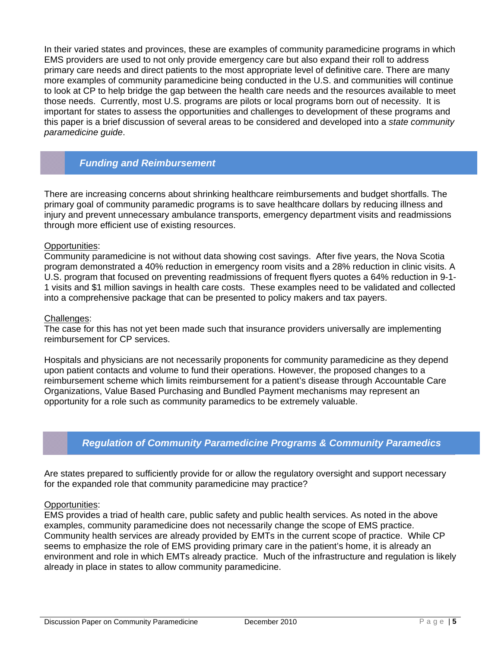In their varied states and provinces, these are examples of community paramedicine programs in which EMS providers are used to not only provide emergency care but also expand their roll to address primary care needs and direct patients to the most appropriate level of definitive care. There are many more examples of community paramedicine being conducted in the U.S. and communities will continue to look at CP to help bridge the gap between the health care needs and the resources available to meet those needs. Currently, most U.S. programs are pilots or local programs born out of necessity. It is important for states to assess the opportunities and challenges to development of these programs and this paper is a brief discussion of several areas to be considered and developed into a *state community paramedicine guide*.

# *Funding and Reimbursement*

There are increasing concerns about shrinking healthcare reimbursements and budget shortfalls. The primary goal of community paramedic programs is to save healthcare dollars by reducing illness and injury and prevent unnecessary ambulance transports, emergency department visits and readmissions through more efficient use of existing resources.

### Opportunities:

Community paramedicine is not without data showing cost savings. After five years, the Nova Scotia program demonstrated a 40% reduction in emergency room visits and a 28% reduction in clinic visits. A U.S. program that focused on preventing readmissions of frequent flyers quotes a 64% reduction in 9-1- 1 visits and \$1 million savings in health care costs. These examples need to be validated and collected into a comprehensive package that can be presented to policy makers and tax payers.

### Challenges:

The case for this has not yet been made such that insurance providers universally are implementing reimbursement for CP services.

Hospitals and physicians are not necessarily proponents for community paramedicine as they depend upon patient contacts and volume to fund their operations. However, the proposed changes to a reimbursement scheme which limits reimbursement for a patient's disease through Accountable Care Organizations, Value Based Purchasing and Bundled Payment mechanisms may represent an opportunity for a role such as community paramedics to be extremely valuable.

## *Regulation of Community Paramedicine Programs & Community Paramedics*

Are states prepared to sufficiently provide for or allow the regulatory oversight and support necessary for the expanded role that community paramedicine may practice?

#### Opportunities:

EMS provides a triad of health care, public safety and public health services. As noted in the above examples, community paramedicine does not necessarily change the scope of EMS practice. Community health services are already provided by EMTs in the current scope of practice. While CP seems to emphasize the role of EMS providing primary care in the patient's home, it is already an environment and role in which EMTs already practice. Much of the infrastructure and regulation is likely already in place in states to allow community paramedicine.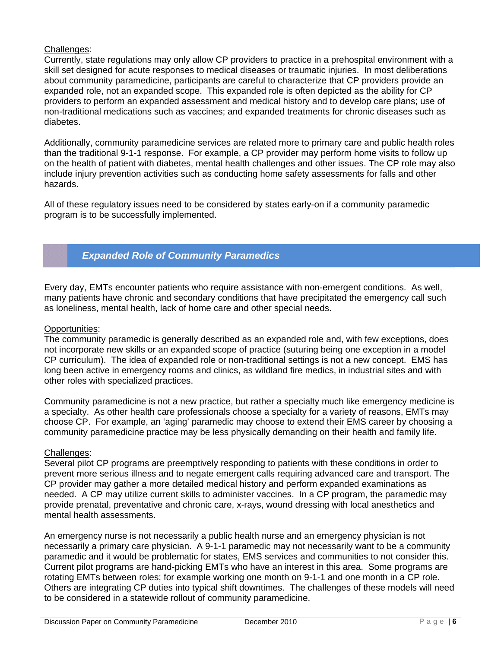## Challenges:

Currently, state regulations may only allow CP providers to practice in a prehospital environment with a skill set designed for acute responses to medical diseases or traumatic injuries. In most deliberations about community paramedicine, participants are careful to characterize that CP providers provide an expanded role, not an expanded scope. This expanded role is often depicted as the ability for CP providers to perform an expanded assessment and medical history and to develop care plans; use of non-traditional medications such as vaccines; and expanded treatments for chronic diseases such as diabetes.

Additionally, community paramedicine services are related more to primary care and public health roles than the traditional 9-1-1 response. For example, a CP provider may perform home visits to follow up on the health of patient with diabetes, mental health challenges and other issues. The CP role may also include injury prevention activities such as conducting home safety assessments for falls and other hazards.

All of these regulatory issues need to be considered by states early-on if a community paramedic program is to be successfully implemented.

# *Expanded Role of Community Paramedics*

Every day, EMTs encounter patients who require assistance with non-emergent conditions. As well, many patients have chronic and secondary conditions that have precipitated the emergency call such as loneliness, mental health, lack of home care and other special needs.

### Opportunities:

The community paramedic is generally described as an expanded role and, with few exceptions, does not incorporate new skills or an expanded scope of practice (suturing being one exception in a model CP curriculum). The idea of expanded role or non-traditional settings is not a new concept. EMS has long been active in emergency rooms and clinics, as wildland fire medics, in industrial sites and with other roles with specialized practices.

Community paramedicine is not a new practice, but rather a specialty much like emergency medicine is a specialty. As other health care professionals choose a specialty for a variety of reasons, EMTs may choose CP. For example, an 'aging' paramedic may choose to extend their EMS career by choosing a community paramedicine practice may be less physically demanding on their health and family life.

### Challenges:

Several pilot CP programs are preemptively responding to patients with these conditions in order to prevent more serious illness and to negate emergent calls requiring advanced care and transport. The CP provider may gather a more detailed medical history and perform expanded examinations as needed. A CP may utilize current skills to administer vaccines. In a CP program, the paramedic may provide prenatal, preventative and chronic care, x-rays, wound dressing with local anesthetics and mental health assessments.

An emergency nurse is not necessarily a public health nurse and an emergency physician is not necessarily a primary care physician. A 9-1-1 paramedic may not necessarily want to be a community paramedic and it would be problematic for states, EMS services and communities to not consider this. Current pilot programs are hand-picking EMTs who have an interest in this area. Some programs are rotating EMTs between roles; for example working one month on 9-1-1 and one month in a CP role. Others are integrating CP duties into typical shift downtimes. The challenges of these models will need to be considered in a statewide rollout of community paramedicine.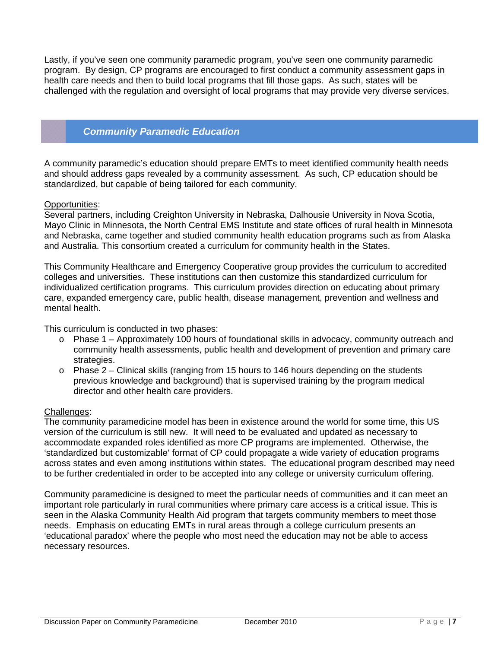Lastly, if you've seen one community paramedic program, you've seen one community paramedic program. By design, CP programs are encouraged to first conduct a community assessment gaps in health care needs and then to build local programs that fill those gaps. As such, states will be challenged with the regulation and oversight of local programs that may provide very diverse services.

# *Community Paramedic Education*

A community paramedic's education should prepare EMTs to meet identified community health needs and should address gaps revealed by a community assessment. As such, CP education should be standardized, but capable of being tailored for each community.

### Opportunities:

Several partners, including Creighton University in Nebraska, Dalhousie University in Nova Scotia, Mayo Clinic in Minnesota, the North Central EMS Institute and state offices of rural health in Minnesota and Nebraska, came together and studied community health education programs such as from Alaska and Australia. This consortium created a curriculum for community health in the States.

This Community Healthcare and Emergency Cooperative group provides the curriculum to accredited colleges and universities. These institutions can then customize this standardized curriculum for individualized certification programs. This curriculum provides direction on educating about primary care, expanded emergency care, public health, disease management, prevention and wellness and mental health.

This curriculum is conducted in two phases:

- $\circ$  Phase 1 Approximately 100 hours of foundational skills in advocacy, community outreach and community health assessments, public health and development of prevention and primary care strategies.
- $\circ$  Phase 2 Clinical skills (ranging from 15 hours to 146 hours depending on the students previous knowledge and background) that is supervised training by the program medical director and other health care providers.

### Challenges:

The community paramedicine model has been in existence around the world for some time, this US version of the curriculum is still new. It will need to be evaluated and updated as necessary to accommodate expanded roles identified as more CP programs are implemented. Otherwise, the 'standardized but customizable' format of CP could propagate a wide variety of education programs across states and even among institutions within states. The educational program described may need to be further credentialed in order to be accepted into any college or university curriculum offering.

Community paramedicine is designed to meet the particular needs of communities and it can meet an important role particularly in rural communities where primary care access is a critical issue. This is seen in the Alaska Community Health Aid program that targets community members to meet those needs. Emphasis on educating EMTs in rural areas through a college curriculum presents an 'educational paradox' where the people who most need the education may not be able to access necessary resources.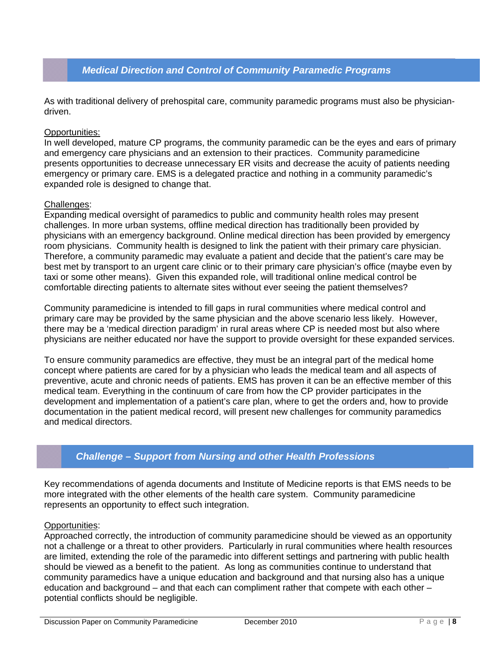# *Medical Direction and Control of Community Paramedic Programs*

As with traditional delivery of prehospital care, community paramedic programs must also be physiciandriven.

#### Opportunities:

In well developed, mature CP programs, the community paramedic can be the eyes and ears of primary and emergency care physicians and an extension to their practices. Community paramedicine presents opportunities to decrease unnecessary ER visits and decrease the acuity of patients needing emergency or primary care. EMS is a delegated practice and nothing in a community paramedic's expanded role is designed to change that.

#### Challenges:

Expanding medical oversight of paramedics to public and community health roles may present challenges. In more urban systems, offline medical direction has traditionally been provided by physicians with an emergency background. Online medical direction has been provided by emergency room physicians. Community health is designed to link the patient with their primary care physician. Therefore, a community paramedic may evaluate a patient and decide that the patient's care may be best met by transport to an urgent care clinic or to their primary care physician's office (maybe even by taxi or some other means). Given this expanded role, will traditional online medical control be comfortable directing patients to alternate sites without ever seeing the patient themselves?

Community paramedicine is intended to fill gaps in rural communities where medical control and primary care may be provided by the same physician and the above scenario less likely. However, there may be a 'medical direction paradigm' in rural areas where CP is needed most but also where physicians are neither educated nor have the support to provide oversight for these expanded services.

To ensure community paramedics are effective, they must be an integral part of the medical home concept where patients are cared for by a physician who leads the medical team and all aspects of preventive, acute and chronic needs of patients. EMS has proven it can be an effective member of this medical team. Everything in the continuum of care from how the CP provider participates in the development and implementation of a patient's care plan, where to get the orders and, how to provide documentation in the patient medical record, will present new challenges for community paramedics and medical directors.

# *Challenge – Support from Nursing and other Health Professions*

Key recommendations of agenda documents and Institute of Medicine reports is that EMS needs to be more integrated with the other elements of the health care system. Community paramedicine represents an opportunity to effect such integration.

#### Opportunities:

Approached correctly, the introduction of community paramedicine should be viewed as an opportunity not a challenge or a threat to other providers. Particularly in rural communities where health resources are limited, extending the role of the paramedic into different settings and partnering with public health should be viewed as a benefit to the patient. As long as communities continue to understand that community paramedics have a unique education and background and that nursing also has a unique education and background – and that each can compliment rather that compete with each other – potential conflicts should be negligible.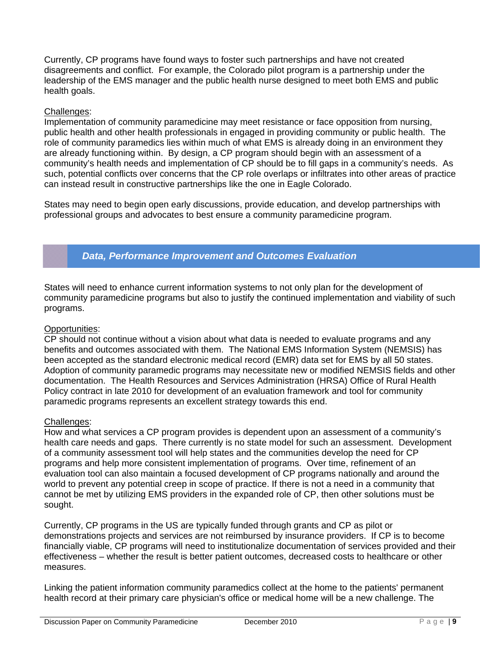Currently, CP programs have found ways to foster such partnerships and have not created disagreements and conflict. For example, the Colorado pilot program is a partnership under the leadership of the EMS manager and the public health nurse designed to meet both EMS and public health goals.

## Challenges:

Implementation of community paramedicine may meet resistance or face opposition from nursing, public health and other health professionals in engaged in providing community or public health. The role of community paramedics lies within much of what EMS is already doing in an environment they are already functioning within. By design, a CP program should begin with an assessment of a community's health needs and implementation of CP should be to fill gaps in a community's needs. As such, potential conflicts over concerns that the CP role overlaps or infiltrates into other areas of practice can instead result in constructive partnerships like the one in Eagle Colorado.

States may need to begin open early discussions, provide education, and develop partnerships with professional groups and advocates to best ensure a community paramedicine program.

# *Data, Performance Improvement and Outcomes Evaluation*

States will need to enhance current information systems to not only plan for the development of community paramedicine programs but also to justify the continued implementation and viability of such programs.

### Opportunities:

CP should not continue without a vision about what data is needed to evaluate programs and any benefits and outcomes associated with them. The National EMS Information System (NEMSIS) has been accepted as the standard electronic medical record (EMR) data set for EMS by all 50 states. Adoption of community paramedic programs may necessitate new or modified NEMSIS fields and other documentation. The Health Resources and Services Administration (HRSA) Office of Rural Health Policy contract in late 2010 for development of an evaluation framework and tool for community paramedic programs represents an excellent strategy towards this end.

### Challenges:

How and what services a CP program provides is dependent upon an assessment of a community's health care needs and gaps. There currently is no state model for such an assessment. Development of a community assessment tool will help states and the communities develop the need for CP programs and help more consistent implementation of programs. Over time, refinement of an evaluation tool can also maintain a focused development of CP programs nationally and around the world to prevent any potential creep in scope of practice. If there is not a need in a community that cannot be met by utilizing EMS providers in the expanded role of CP, then other solutions must be sought.

Currently, CP programs in the US are typically funded through grants and CP as pilot or demonstrations projects and services are not reimbursed by insurance providers. If CP is to become financially viable, CP programs will need to institutionalize documentation of services provided and their effectiveness – whether the result is better patient outcomes, decreased costs to healthcare or other measures.

Linking the patient information community paramedics collect at the home to the patients' permanent health record at their primary care physician's office or medical home will be a new challenge. The